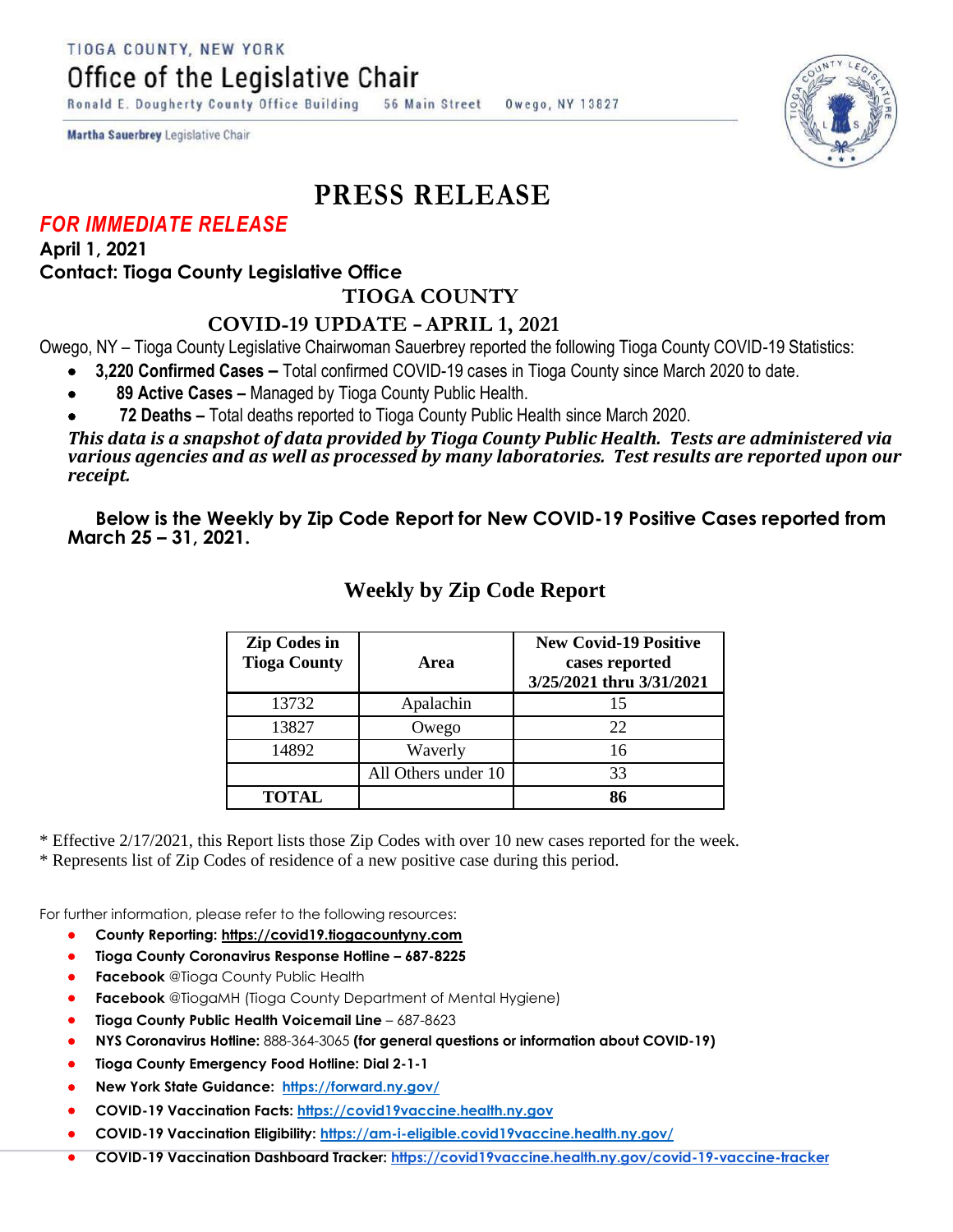Office of the Legislative Chair

Ronald E. Dougherty County Office Building 56 Main Street Owego, NY 13827

Martha Sauerbrey Legislative Chair

## **PRESS RELEASE**

## *FOR IMMEDIATE RELEASE*

**April 1, 2021 Contact: Tioga County Legislative Office**

**TIOGA COUNTY**

## **COVID-19 UPDATE – APRIL 1, 2021**

Owego, NY – Tioga County Legislative Chairwoman Sauerbrey reported the following Tioga County COVID-19 Statistics:

- **3,220 Confirmed Cases –** Total confirmed COVID-19 cases in Tioga County since March 2020 to date.
- **89 Active Cases –** Managed by Tioga County Public Health.
- **72 Deaths –** Total deaths reported to Tioga County Public Health since March 2020.

*This data is a snapshot of data provided by Tioga County Public Health. Tests are administered via various agencies and as well as processed by many laboratories. Test results are reported upon our receipt.* 

**Below is the Weekly by Zip Code Report for New COVID-19 Positive Cases reported from March 25 – 31, 2021.** 

| <b>Zip Codes in</b><br><b>Tioga County</b> | Area                | <b>New Covid-19 Positive</b><br>cases reported<br>3/25/2021 thru 3/31/2021 |
|--------------------------------------------|---------------------|----------------------------------------------------------------------------|
| 13732                                      | Apalachin           | 15                                                                         |
| 13827                                      | Owego               | 22                                                                         |
| 14892                                      | Waverly             | 16                                                                         |
|                                            | All Others under 10 | 33                                                                         |
| <b>TOTAL</b>                               |                     | 86                                                                         |

## **Weekly by Zip Code Report**

\* Effective 2/17/2021, this Report lists those Zip Codes with over 10 new cases reported for the week.

\* Represents list of Zip Codes of residence of a new positive case during this period.

For further information, please refer to the following resources:

- **County Reporting: [https://covid19.tiogacountyny.com](https://covid19.tiogacountyny.com/)**
- **Tioga County Coronavirus Response Hotline – 687-8225**
- **Facebook** @Tioga County Public Health
- **Facebook** @TiogaMH (Tioga County Department of Mental Hygiene)
- **Tioga County Public Health Voicemail Line**  687-8623
- **NYS Coronavirus Hotline:** 888-364-3065 **(for general questions or information about COVID-19)**
- **Tioga County Emergency Food Hotline: Dial 2-1-1**
- **New York State Guidance: <https://forward.ny.gov/>**
- **COVID-19 Vaccination Facts: [https://covid19vaccine.health.ny.gov](https://covid19vaccine.health.ny.gov/)**
- **COVID-19 Vaccination Eligibility: <https://am-i-eligible.covid19vaccine.health.ny.gov/>**
- **COVID-19 Vaccination Dashboard Tracker: [https://covid19vaccine.health.ny.gov/covid-19-vaccine-tracker](https://covid19vaccine.health.ny.gov/covid-19-vaccine-tracker#_blank)**